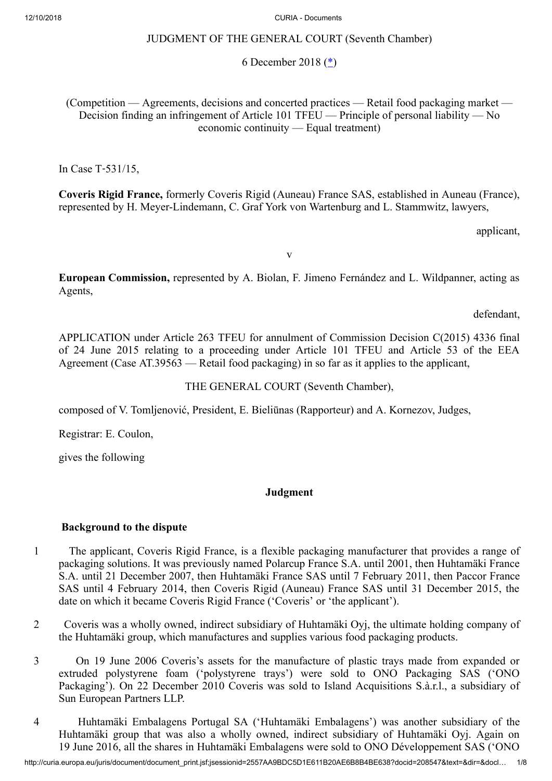# JUDGMENT OF THE GENERAL COURT (Seventh Chamber)

## <span id="page-0-0"></span>6 December 2018 [\(\\*](#page-7-0))

(Competition — Agreements, decisions and concerted practices — Retail food packaging market — Decision finding an infringement of Article 101 TFEU — Principle of personal liability — No economic continuity — Equal treatment)

In Case T‑531/15,

**Coveris Rigid France,** formerly Coveris Rigid (Auneau) France SAS, established in Auneau (France), represented by H. Meyer-Lindemann, C. Graf York von Wartenburg and L. Stammwitz, lawyers,

applicant,

v

**European Commission,** represented by A. Biolan, F. Jimeno Fernández and L. Wildpanner, acting as Agents,

defendant,

APPLICATION under Article 263 TFEU for annulment of Commission Decision C(2015) 4336 final of 24 June 2015 relating to a proceeding under Article 101 TFEU and Article 53 of the EEA Agreement (Case AT.39563 — Retail food packaging) in so far as it applies to the applicant,

THE GENERAL COURT (Seventh Chamber),

composed of V. Tomljenović, President, E. Bieliūnas (Rapporteur) and A. Kornezov, Judges,

Registrar: E. Coulon,

gives the following

# **Judgment**

### **Background to the dispute**

- 1 The applicant, Coveris Rigid France, is a flexible packaging manufacturer that provides a range of packaging solutions. It was previously named Polarcup France S.A. until 2001, then Huhtamäki France S.A. until 21 December 2007, then Huhtamäki France SAS until 7 February 2011, then Paccor France SAS until 4 February 2014, then Coveris Rigid (Auneau) France SAS until 31 December 2015, the date on which it became Coveris Rigid France ('Coveris' or 'the applicant').
- 2 Coveris was a wholly owned, indirect subsidiary of Huhtamäki Oyj, the ultimate holding company of the Huhtamäki group, which manufactures and supplies various food packaging products.
- 3 On 19 June 2006 Coveris's assets for the manufacture of plastic trays made from expanded or extruded polystyrene foam ('polystyrene trays') were sold to ONO Packaging SAS ('ONO Packaging'). On 22 December 2010 Coveris was sold to Island Acquisitions S.à.r.l., a subsidiary of Sun European Partners LLP.
- 4 Huhtamäki Embalagens Portugal SA ('Huhtamäki Embalagens') was another subsidiary of the Huhtamäki group that was also a wholly owned, indirect subsidiary of Huhtamäki Oyj. Again on 19 June 2016, all the shares in Huhtamäki Embalagens were sold to ONO Développement SAS ('ONO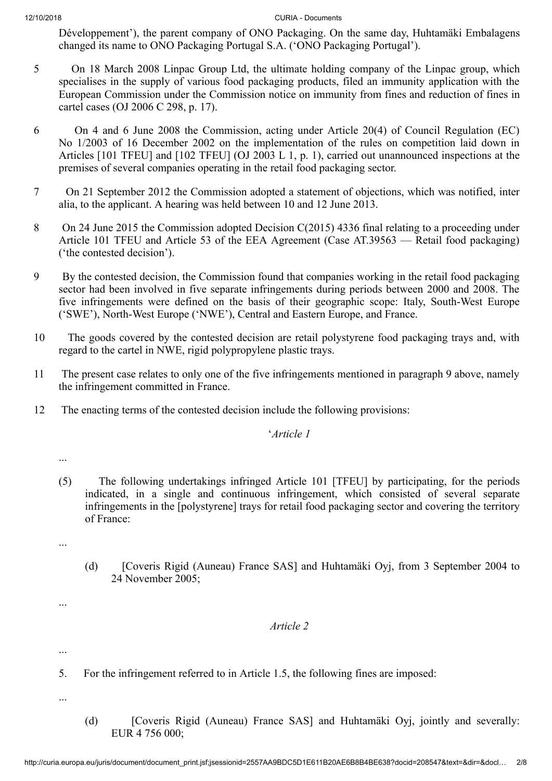Développement'), the parent company of ONO Packaging. On the same day, Huhtamäki Embalagens changed its name to ONO Packaging Portugal S.A. ('ONO Packaging Portugal').

- 5 On 18 March 2008 Linpac Group Ltd, the ultimate holding company of the Linpac group, which specialises in the supply of various food packaging products, filed an immunity application with the European Commission under the Commission notice on immunity from fines and reduction of fines in cartel cases (OJ 2006 C 298, p. 17).
- 6 On 4 and 6 June 2008 the Commission, acting under Article 20(4) of Council Regulation (EC) No 1/2003 of 16 December 2002 on the implementation of the rules on competition laid down in Articles [101 TFEU] and [102 TFEU] (OJ 2003 L 1, p. 1), carried out unannounced inspections at the premises of several companies operating in the retail food packaging sector.
- 7 On 21 September 2012 the Commission adopted a statement of objections, which was notified, inter alia, to the applicant. A hearing was held between 10 and 12 June 2013.
- 8 On 24 June 2015 the Commission adopted Decision C(2015) 4336 final relating to a proceeding under Article 101 TFEU and Article 53 of the EEA Agreement (Case AT.39563 — Retail food packaging) ('the contested decision').
- 9 By the contested decision, the Commission found that companies working in the retail food packaging sector had been involved in five separate infringements during periods between 2000 and 2008. The five infringements were defined on the basis of their geographic scope: Italy, South-West Europe ('SWE'), North-West Europe ('NWE'), Central and Eastern Europe, and France.
- 10 The goods covered by the contested decision are retail polystyrene food packaging trays and, with regard to the cartel in NWE, rigid polypropylene plastic trays.
- 11 The present case relates to only one of the five infringements mentioned in paragraph 9 above, namely the infringement committed in France.
- 12 The enacting terms of the contested decision include the following provisions:

'*Article 1*

- ...
- (5) The following undertakings infringed Article 101 [TFEU] by participating, for the periods indicated, in a single and continuous infringement, which consisted of several separate infringements in the [polystyrene] trays for retail food packaging sector and covering the territory of France:
- ...
- (d) [Coveris Rigid (Auneau) France SAS] and Huhtamäki Oyj, from 3 September 2004 to 24 November 2005;

# *Article 2*

...

...

- 5. For the infringement referred to in Article 1.5, the following fines are imposed:
- ...
- (d) [Coveris Rigid (Auneau) France SAS] and Huhtamäki Oyj, jointly and severally: EUR 4 756 000;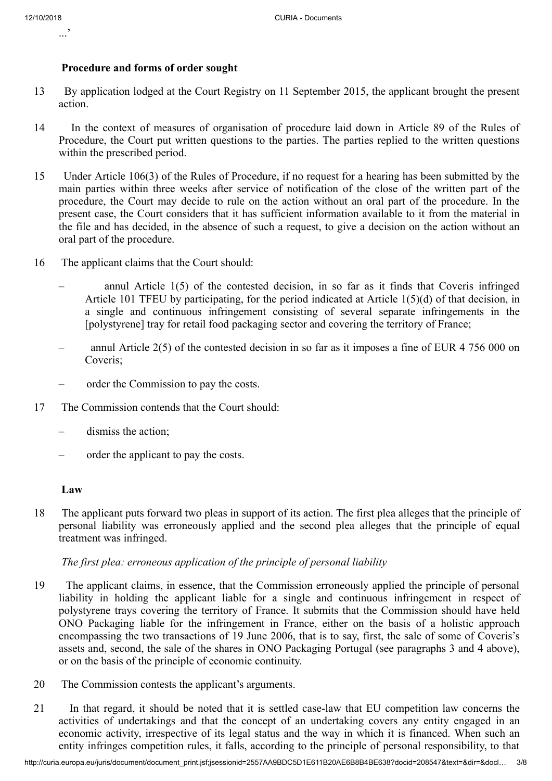...'

### **Procedure and forms of order sought**

- 13 By application lodged at the Court Registry on 11 September 2015, the applicant brought the present action.
- 14 In the context of measures of organisation of procedure laid down in Article 89 of the Rules of Procedure, the Court put written questions to the parties. The parties replied to the written questions within the prescribed period.
- 15 Under Article 106(3) of the Rules of Procedure, if no request for a hearing has been submitted by the main parties within three weeks after service of notification of the close of the written part of the procedure, the Court may decide to rule on the action without an oral part of the procedure. In the present case, the Court considers that it has sufficient information available to it from the material in the file and has decided, in the absence of such a request, to give a decision on the action without an oral part of the procedure.
- 16 The applicant claims that the Court should:
	- annul Article 1(5) of the contested decision, in so far as it finds that Coveris infringed Article 101 TFEU by participating, for the period indicated at Article 1(5)(d) of that decision, in a single and continuous infringement consisting of several separate infringements in the [polystyrene] tray for retail food packaging sector and covering the territory of France;
	- annul Article 2(5) of the contested decision in so far as it imposes a fine of EUR 4 756 000 on Coveris;
	- order the Commission to pay the costs.
- 17 The Commission contends that the Court should:
	- dismiss the action;
	- order the applicant to pay the costs.

### **Law**

18 The applicant puts forward two pleas in support of its action. The first plea alleges that the principle of personal liability was erroneously applied and the second plea alleges that the principle of equal treatment was infringed.

### *The first plea: erroneous application of the principle of personal liability*

- 19 The applicant claims, in essence, that the Commission erroneously applied the principle of personal liability in holding the applicant liable for a single and continuous infringement in respect of polystyrene trays covering the territory of France. It submits that the Commission should have held ONO Packaging liable for the infringement in France, either on the basis of a holistic approach encompassing the two transactions of 19 June 2006, that is to say, first, the sale of some of Coveris's assets and, second, the sale of the shares in ONO Packaging Portugal (see paragraphs 3 and 4 above), or on the basis of the principle of economic continuity.
- 20 The Commission contests the applicant's arguments.
- 21 In that regard, it should be noted that it is settled case-law that EU competition law concerns the activities of undertakings and that the concept of an undertaking covers any entity engaged in an economic activity, irrespective of its legal status and the way in which it is financed. When such an entity infringes competition rules, it falls, according to the principle of personal responsibility, to that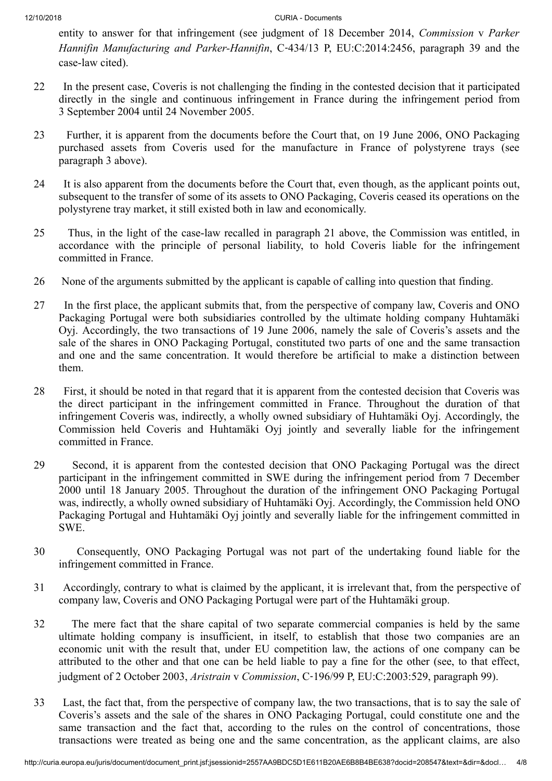entity to answer for that infringement (see judgment of 18 December 2014, *Commission* v *Parker Hannifin Manufacturing and Parker-Hannifin*, C‑434/13 P, EU:C:2014:2456, paragraph 39 and the case-law cited).

- 22 In the present case, Coveris is not challenging the finding in the contested decision that it participated directly in the single and continuous infringement in France during the infringement period from 3 September 2004 until 24 November 2005.
- 23 Further, it is apparent from the documents before the Court that, on 19 June 2006, ONO Packaging purchased assets from Coveris used for the manufacture in France of polystyrene trays (see paragraph 3 above).
- 24 It is also apparent from the documents before the Court that, even though, as the applicant points out, subsequent to the transfer of some of its assets to ONO Packaging, Coveris ceased its operations on the polystyrene tray market, it still existed both in law and economically.
- 25 Thus, in the light of the case-law recalled in paragraph 21 above, the Commission was entitled, in accordance with the principle of personal liability, to hold Coveris liable for the infringement committed in France.
- 26 None of the arguments submitted by the applicant is capable of calling into question that finding.
- 27 In the first place, the applicant submits that, from the perspective of company law, Coveris and ONO Packaging Portugal were both subsidiaries controlled by the ultimate holding company Huhtamäki Oyj. Accordingly, the two transactions of 19 June 2006, namely the sale of Coveris's assets and the sale of the shares in ONO Packaging Portugal, constituted two parts of one and the same transaction and one and the same concentration. It would therefore be artificial to make a distinction between them.
- 28 First, it should be noted in that regard that it is apparent from the contested decision that Coveris was the direct participant in the infringement committed in France. Throughout the duration of that infringement Coveris was, indirectly, a wholly owned subsidiary of Huhtamäki Oyj. Accordingly, the Commission held Coveris and Huhtamäki Oyj jointly and severally liable for the infringement committed in France.
- 29 Second, it is apparent from the contested decision that ONO Packaging Portugal was the direct participant in the infringement committed in SWE during the infringement period from 7 December 2000 until 18 January 2005. Throughout the duration of the infringement ONO Packaging Portugal was, indirectly, a wholly owned subsidiary of Huhtamäki Oyj. Accordingly, the Commission held ONO Packaging Portugal and Huhtamäki Oyj jointly and severally liable for the infringement committed in SWE.
- 30 Consequently, ONO Packaging Portugal was not part of the undertaking found liable for the infringement committed in France.
- 31 Accordingly, contrary to what is claimed by the applicant, it is irrelevant that, from the perspective of company law, Coveris and ONO Packaging Portugal were part of the Huhtamäki group.
- 32 The mere fact that the share capital of two separate commercial companies is held by the same ultimate holding company is insufficient, in itself, to establish that those two companies are an economic unit with the result that, under EU competition law, the actions of one company can be attributed to the other and that one can be held liable to pay a fine for the other (see, to that effect, judgment of 2 October 2003, *Aristrain* v *Commission*, C‑196/99 P, EU:C:2003:529, paragraph 99).
- 33 Last, the fact that, from the perspective of company law, the two transactions, that is to say the sale of Coveris's assets and the sale of the shares in ONO Packaging Portugal, could constitute one and the same transaction and the fact that, according to the rules on the control of concentrations, those transactions were treated as being one and the same concentration, as the applicant claims, are also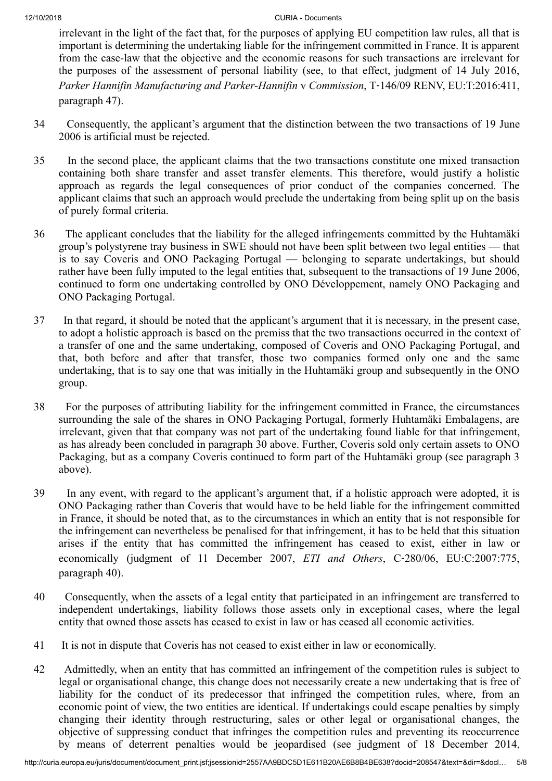irrelevant in the light of the fact that, for the purposes of applying EU competition law rules, all that is important is determining the undertaking liable for the infringement committed in France. It is apparent from the case-law that the objective and the economic reasons for such transactions are irrelevant for the purposes of the assessment of personal liability (see, to that effect, judgment of 14 July 2016, *Parker Hannifin Manufacturing and Parker-Hannifin* v *Commission*, T‑146/09 RENV, EU:T:2016:411, paragraph 47).

- 34 Consequently, the applicant's argument that the distinction between the two transactions of 19 June 2006 is artificial must be rejected.
- 35 In the second place, the applicant claims that the two transactions constitute one mixed transaction containing both share transfer and asset transfer elements. This therefore, would justify a holistic approach as regards the legal consequences of prior conduct of the companies concerned. The applicant claims that such an approach would preclude the undertaking from being split up on the basis of purely formal criteria.
- 36 The applicant concludes that the liability for the alleged infringements committed by the Huhtamäki group's polystyrene tray business in SWE should not have been split between two legal entities — that is to say Coveris and ONO Packaging Portugal — belonging to separate undertakings, but should rather have been fully imputed to the legal entities that, subsequent to the transactions of 19 June 2006, continued to form one undertaking controlled by ONO Développement, namely ONO Packaging and ONO Packaging Portugal.
- 37 In that regard, it should be noted that the applicant's argument that it is necessary, in the present case, to adopt a holistic approach is based on the premiss that the two transactions occurred in the context of a transfer of one and the same undertaking, composed of Coveris and ONO Packaging Portugal, and that, both before and after that transfer, those two companies formed only one and the same undertaking, that is to say one that was initially in the Huhtamäki group and subsequently in the ONO group.
- 38 For the purposes of attributing liability for the infringement committed in France, the circumstances surrounding the sale of the shares in ONO Packaging Portugal, formerly Huhtamäki Embalagens, are irrelevant, given that that company was not part of the undertaking found liable for that infringement, as has already been concluded in paragraph 30 above. Further, Coveris sold only certain assets to ONO Packaging, but as a company Coveris continued to form part of the Huhtamäki group (see paragraph 3 above).
- 39 In any event, with regard to the applicant's argument that, if a holistic approach were adopted, it is ONO Packaging rather than Coveris that would have to be held liable for the infringement committed in France, it should be noted that, as to the circumstances in which an entity that is not responsible for the infringement can nevertheless be penalised for that infringement, it has to be held that this situation arises if the entity that has committed the infringement has ceased to exist, either in law or economically (judgment of 11 December 2007, *ETI and Others*, C‑280/06, EU:C:2007:775, paragraph 40).
- 40 Consequently, when the assets of a legal entity that participated in an infringement are transferred to independent undertakings, liability follows those assets only in exceptional cases, where the legal entity that owned those assets has ceased to exist in law or has ceased all economic activities.
- 41 It is not in dispute that Coveris has not ceased to exist either in law or economically.
- 42 Admittedly, when an entity that has committed an infringement of the competition rules is subject to legal or organisational change, this change does not necessarily create a new undertaking that is free of liability for the conduct of its predecessor that infringed the competition rules, where, from an economic point of view, the two entities are identical. If undertakings could escape penalties by simply changing their identity through restructuring, sales or other legal or organisational changes, the objective of suppressing conduct that infringes the competition rules and preventing its reoccurrence by means of deterrent penalties would be jeopardised (see judgment of 18 December 2014,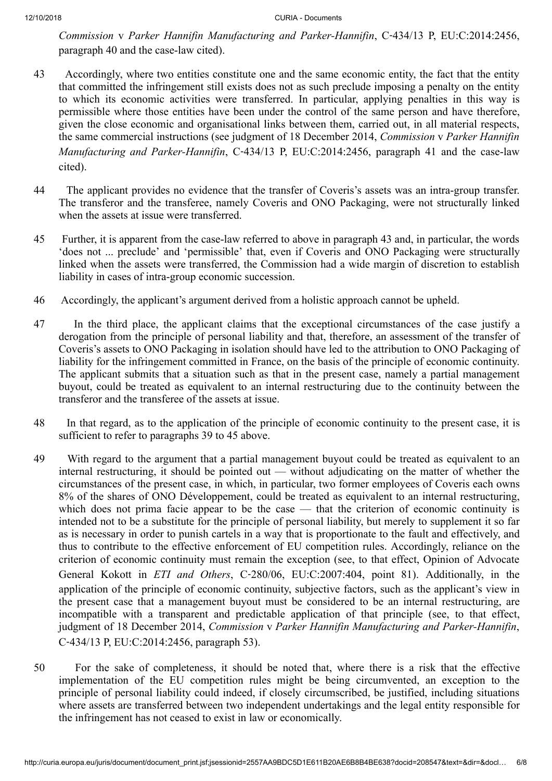*Commission* v *Parker Hannifin Manufacturing and Parker-Hannifin*, C‑434/13 P, EU:C:2014:2456, paragraph 40 and the case-law cited).

- 43 Accordingly, where two entities constitute one and the same economic entity, the fact that the entity that committed the infringement still exists does not as such preclude imposing a penalty on the entity to which its economic activities were transferred. In particular, applying penalties in this way is permissible where those entities have been under the control of the same person and have therefore, given the close economic and organisational links between them, carried out, in all material respects, the same commercial instructions (see judgment of 18 December 2014, *Commission* v *Parker Hannifin Manufacturing and Parker-Hannifin*, C‑434/13 P, EU:C:2014:2456, paragraph 41 and the case-law cited).
- 44 The applicant provides no evidence that the transfer of Coveris's assets was an intra-group transfer. The transferor and the transferee, namely Coveris and ONO Packaging, were not structurally linked when the assets at issue were transferred.
- 45 Further, it is apparent from the case-law referred to above in paragraph 43 and, in particular, the words 'does not ... preclude' and 'permissible' that, even if Coveris and ONO Packaging were structurally linked when the assets were transferred, the Commission had a wide margin of discretion to establish liability in cases of intra-group economic succession.
- 46 Accordingly, the applicant's argument derived from a holistic approach cannot be upheld.
- 47 In the third place, the applicant claims that the exceptional circumstances of the case justify a derogation from the principle of personal liability and that, therefore, an assessment of the transfer of Coveris's assets to ONO Packaging in isolation should have led to the attribution to ONO Packaging of liability for the infringement committed in France, on the basis of the principle of economic continuity. The applicant submits that a situation such as that in the present case, namely a partial management buyout, could be treated as equivalent to an internal restructuring due to the continuity between the transferor and the transferee of the assets at issue.
- 48 In that regard, as to the application of the principle of economic continuity to the present case, it is sufficient to refer to paragraphs 39 to 45 above.
- 49 With regard to the argument that a partial management buyout could be treated as equivalent to an internal restructuring, it should be pointed out — without adjudicating on the matter of whether the circumstances of the present case, in which, in particular, two former employees of Coveris each owns 8% of the shares of ONO Développement, could be treated as equivalent to an internal restructuring, which does not prima facie appear to be the case — that the criterion of economic continuity is intended not to be a substitute for the principle of personal liability, but merely to supplement it so far as is necessary in order to punish cartels in a way that is proportionate to the fault and effectively, and thus to contribute to the effective enforcement of EU competition rules. Accordingly, reliance on the criterion of economic continuity must remain the exception (see, to that effect, Opinion of Advocate General Kokott in *ETI and Others*, C‑280/06, EU:C:2007:404, point 81). Additionally, in the application of the principle of economic continuity, subjective factors, such as the applicant's view in the present case that a management buyout must be considered to be an internal restructuring, are incompatible with a transparent and predictable application of that principle (see, to that effect, judgment of 18 December 2014, *Commission* v *Parker Hannifin Manufacturing and Parker-Hannifin*, C‑434/13 P, EU:C:2014:2456, paragraph 53).
- 50 For the sake of completeness, it should be noted that, where there is a risk that the effective implementation of the EU competition rules might be being circumvented, an exception to the principle of personal liability could indeed, if closely circumscribed, be justified, including situations where assets are transferred between two independent undertakings and the legal entity responsible for the infringement has not ceased to exist in law or economically.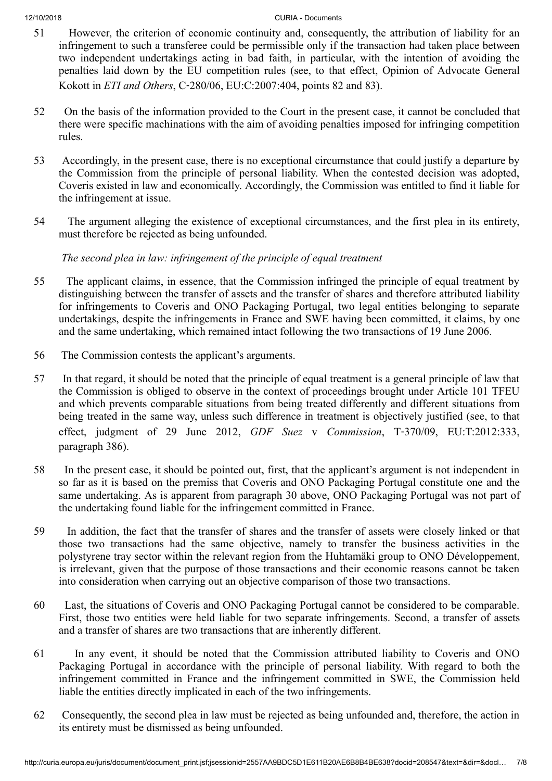- 51 However, the criterion of economic continuity and, consequently, the attribution of liability for an infringement to such a transferee could be permissible only if the transaction had taken place between two independent undertakings acting in bad faith, in particular, with the intention of avoiding the penalties laid down by the EU competition rules (see, to that effect, Opinion of Advocate General Kokott in *ETI and Others*, C‑280/06, EU:C:2007:404, points 82 and 83).
- 52 On the basis of the information provided to the Court in the present case, it cannot be concluded that there were specific machinations with the aim of avoiding penalties imposed for infringing competition rules.
- 53 Accordingly, in the present case, there is no exceptional circumstance that could justify a departure by the Commission from the principle of personal liability. When the contested decision was adopted, Coveris existed in law and economically. Accordingly, the Commission was entitled to find it liable for the infringement at issue.
- 54 The argument alleging the existence of exceptional circumstances, and the first plea in its entirety, must therefore be rejected as being unfounded.

*The second plea in law: infringement of the principle of equal treatment*

- 55 The applicant claims, in essence, that the Commission infringed the principle of equal treatment by distinguishing between the transfer of assets and the transfer of shares and therefore attributed liability for infringements to Coveris and ONO Packaging Portugal, two legal entities belonging to separate undertakings, despite the infringements in France and SWE having been committed, it claims, by one and the same undertaking, which remained intact following the two transactions of 19 June 2006.
- 56 The Commission contests the applicant's arguments.
- 57 In that regard, it should be noted that the principle of equal treatment is a general principle of law that the Commission is obliged to observe in the context of proceedings brought under Article 101 TFEU and which prevents comparable situations from being treated differently and different situations from being treated in the same way, unless such difference in treatment is objectively justified (see, to that effect, judgment of 29 June 2012, *GDF Suez* v *Commission*, T‑370/09, EU:T:2012:333, paragraph 386).
- 58 In the present case, it should be pointed out, first, that the applicant's argument is not independent in so far as it is based on the premiss that Coveris and ONO Packaging Portugal constitute one and the same undertaking. As is apparent from paragraph 30 above, ONO Packaging Portugal was not part of the undertaking found liable for the infringement committed in France.
- 59 In addition, the fact that the transfer of shares and the transfer of assets were closely linked or that those two transactions had the same objective, namely to transfer the business activities in the polystyrene tray sector within the relevant region from the Huhtamäki group to ONO Développement, is irrelevant, given that the purpose of those transactions and their economic reasons cannot be taken into consideration when carrying out an objective comparison of those two transactions.
- 60 Last, the situations of Coveris and ONO Packaging Portugal cannot be considered to be comparable. First, those two entities were held liable for two separate infringements. Second, a transfer of assets and a transfer of shares are two transactions that are inherently different.
- 61 In any event, it should be noted that the Commission attributed liability to Coveris and ONO Packaging Portugal in accordance with the principle of personal liability. With regard to both the infringement committed in France and the infringement committed in SWE, the Commission held liable the entities directly implicated in each of the two infringements.
- 62 Consequently, the second plea in law must be rejected as being unfounded and, therefore, the action in its entirety must be dismissed as being unfounded.